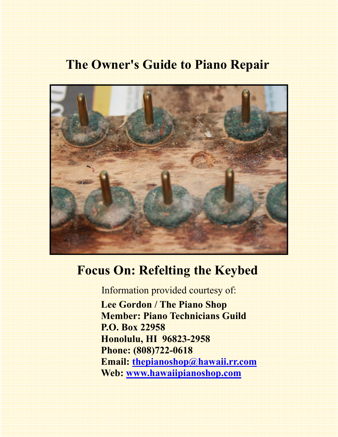# **The Owner's Guide to Piano Repair**



# **Focus On: Refelting the Keybed**

Information provided courtesy of:

 **Lee Gordon / The Piano Shop Member: Piano Technicians Guild P.O. Box 22958 Honolulu, HI 96823-2958 Phone: (808)722-0618 Email: thepianoshop@hawaii.rr.com Web: www.hawaiipianoshop.com**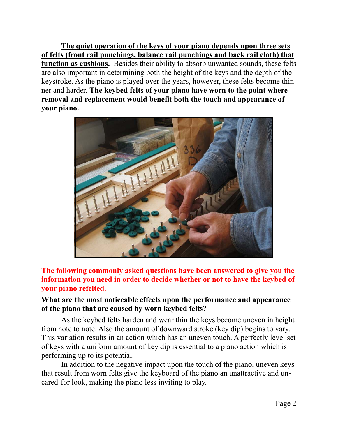**The quiet operation of the keys of your piano depends upon three sets of felts (front rail punchings, balance rail punchings and back rail cloth) that function as cushions.** Besides their ability to absorb unwanted sounds, these felts are also important in determining both the height of the keys and the depth of the keystroke. As the piano is played over the years, however, these felts become thinner and harder. **The keybed felts of your piano have worn to the point where removal and replacement would benefit both the touch and appearance of your piano.**



**The following commonly asked questions have been answered to give you the information you need in order to decide whether or not to have the keybed of your piano refelted.** 

#### **What are the most noticeable effects upon the performance and appearance of the piano that are caused by worn keybed felts?**

As the keybed felts harden and wear thin the keys become uneven in height from note to note. Also the amount of downward stroke (key dip) begins to vary. This variation results in an action which has an uneven touch. A perfectly level set of keys with a uniform amount of key dip is essential to a piano action which is performing up to its potential.

 In addition to the negative impact upon the touch of the piano, uneven keys that result from worn felts give the keyboard of the piano an unattractive and uncared-for look, making the piano less inviting to play.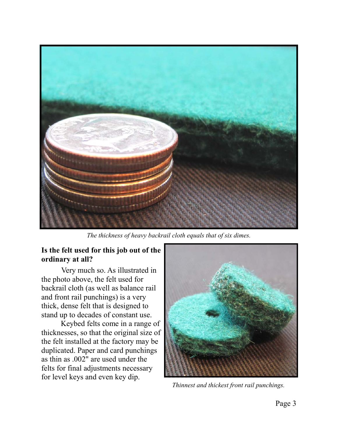

*The thickness of heavy backrail cloth equals that of six dimes.* 

### **Is the felt used for this job out of the ordinary at all?**

 Very much so. As illustrated in the photo above, the felt used for backrail cloth (as well as balance rail and front rail punchings) is a very thick, dense felt that is designed to stand up to decades of constant use.

 Keybed felts come in a range of thicknesses, so that the original size of the felt installed at the factory may be duplicated. Paper and card punchings as thin as .002" are used under the felts for final adjustments necessary for level keys and even key dip.



*Thinnest and thickest front rail punchings.*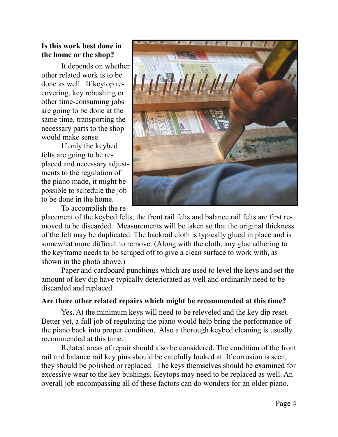### **Is this work best done in the home or the shop?**

 It depends on whether other related work is to be done as well. If keytop recovering, key rebushing or other time-consuming jobs are going to be done at the same time, transporting the necessary parts to the shop would make sense.

 If only the keybed felts are going to be replaced and necessary adjustments to the regulation of the piano made, it might be possible to schedule the job to be done in the home.

To accomplish the re-



placement of the keybed felts, the front rail felts and balance rail felts are first removed to be discarded. Measurements will be taken so that the original thickness of the felt may be duplicated. The backrail cloth is typically glued in place and is somewhat more difficult to remove. (Along with the cloth, any glue adhering to the keyframe needs to be scraped off to give a clean surface to work with, as shown in the photo above.)

 Paper and cardboard punchings which are used to level the keys and set the amount of key dip have typically deteriorated as well and ordinarily need to be discarded and replaced.

#### **Are there other related repairs which might be recommended at this time?**

Yes. At the minimum keys will need to be releveled and the key dip reset. Better yet, a full job of regulating the piano would help bring the performance of the piano back into proper condition. Also a thorough keybed cleaning is usually recommended at this time.

 Related areas of repair should also be considered. The condition of the front rail and balance rail key pins should be carefully looked at. If corrosion is seen, they should be polished or replaced. The keys themselves should be examined for excessive wear to the key bushings. Keytops may need to be replaced as well. An overall job encompassing all of these factors can do wonders for an older piano.